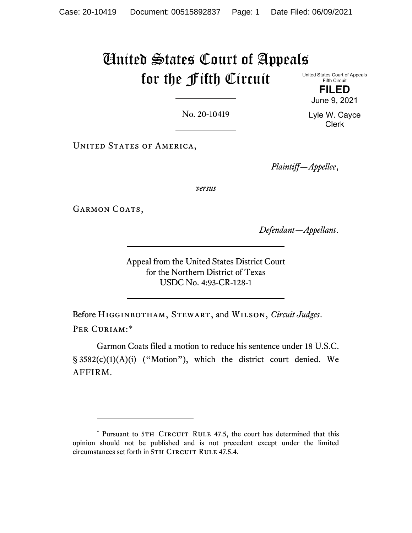# United States Court of Appeals for the Fifth Circuit

United States Court of Appeals Fifth Circuit

> **FILED** June 9, 2021

No. 20-10419

UNITED STATES OF AMERICA,

*Plaintiff—Appellee*,

*versus*

GARMON COATS,

*Defendant—Appellant*.

Appeal from the United States District Court for the Northern District of Texas USDC No. 4:93-CR-128-1

Before Higginbotham, Stewart, and Wilson, *Circuit Judges*. PER CURIAM:[\\*](#page-0-0)

Garmon Coats filed a motion to reduce his sentence under 18 U.S.C. § 3582(c)(1)(A)(i) ("Motion"), which the district court denied. We AFFIRM.

Lyle W. Cayce Clerk

<span id="page-0-0"></span><sup>\*</sup> Pursuant to 5TH CIRCUIT RULE 47.5, the court has determined that this opinion should not be published and is not precedent except under the limited circumstances set forth in 5TH CIRCUIT RULE 47.5.4.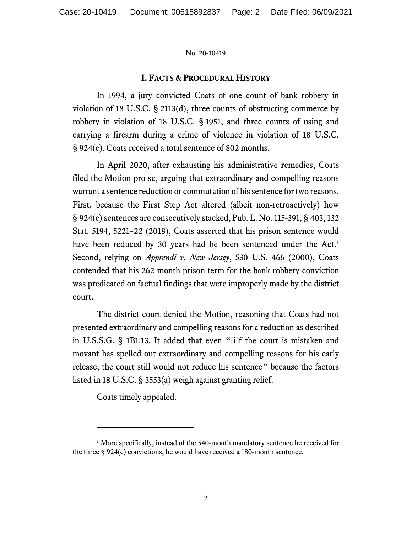## **I. FACTS & PROCEDURAL HISTORY**

In 1994, a jury convicted Coats of one count of bank robbery in violation of 18 U.S.C. § 2113(d), three counts of obstructing commerce by robbery in violation of 18 U.S.C. § 1951, and three counts of using and carrying a firearm during a crime of violence in violation of 18 U.S.C. § 924(c). Coats received a total sentence of 802 months.

In April 2020, after exhausting his administrative remedies, Coats filed the Motion pro se, arguing that extraordinary and compelling reasons warrant a sentence reduction or commutation of his sentence for two reasons. First, because the First Step Act altered (albeit non-retroactively) how § 924(c) sentences are consecutively stacked, Pub. L. No. 115-391, § 403, 132 Stat. 5194, 5221–22 (2018), Coats asserted that his prison sentence would have been reduced by 30 years had he been sentenced under the Act.<sup>[1](#page-1-0)</sup> Second, relying on *Apprendi v. New Jersey*, 530 U.S. 466 (2000), Coats contended that his 262-month prison term for the bank robbery conviction was predicated on factual findings that were improperly made by the district court.

The district court denied the Motion, reasoning that Coats had not presented extraordinary and compelling reasons for a reduction as described in U.S.S.G. § 1B1.13. It added that even "[i]f the court is mistaken and movant has spelled out extraordinary and compelling reasons for his early release, the court still would not reduce his sentence" because the factors listed in 18 U.S.C. § 3553(a) weigh against granting relief.

Coats timely appealed.

<span id="page-1-0"></span><sup>&</sup>lt;sup>1</sup> More specifically, instead of the 540-month mandatory sentence he received for the three § 924(c) convictions, he would have received a 180-month sentence.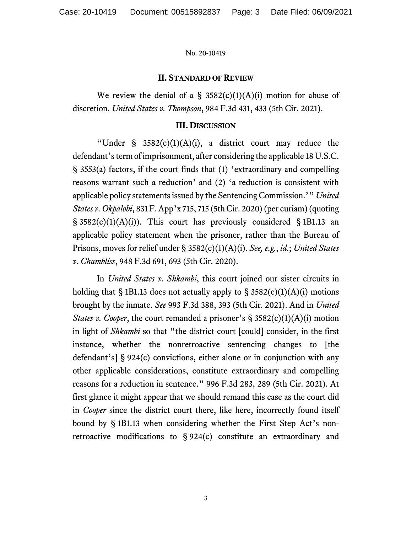## **II. STANDARD OF REVIEW**

We review the denial of a  $\S$  3582(c)(1)(A)(i) motion for abuse of discretion. *United States v. Thompson*, 984 F.3d 431, 433 (5th Cir. 2021).

### **III. DISCUSSION**

"Under  $\S$  3582(c)(1)(A)(i), a district court may reduce the defendant's term of imprisonment, after considering the applicable 18 U.S.C. § 3553(a) factors, if the court finds that (1) 'extraordinary and compelling reasons warrant such a reduction' and (2) 'a reduction is consistent with applicable policy statements issued by the Sentencing Commission.'" *United States v. Okpalobi*, 831 F. App'x 715, 715 (5th Cir. 2020)(per curiam) (quoting  $\S$  3582(c)(1)(A)(i)). This court has previously considered  $\S$  1B1.13 an applicable policy statement when the prisoner, rather than the Bureau of Prisons, moves for relief under § 3582(c)(1)(A)(i). *See, e.g.*, *id.*; *United States v. Chambliss*, 948 F.3d 691, 693 (5th Cir. 2020).

In *United States v. Shkambi*, this court joined our sister circuits in holding that § 1B1.13 does not actually apply to §  $3582(c)(1)(A)(i)$  motions brought by the inmate. *See* 993 F.3d 388, 393 (5th Cir. 2021). And in *United States v. Cooper*, the court remanded a prisoner's § 3582(c)(1)(A)(i) motion in light of *Shkambi* so that "the district court [could] consider, in the first instance, whether the nonretroactive sentencing changes to [the defendant's] § 924(c) convictions, either alone or in conjunction with any other applicable considerations, constitute extraordinary and compelling reasons for a reduction in sentence." 996 F.3d 283, 289 (5th Cir. 2021). At first glance it might appear that we should remand this case as the court did in *Cooper* since the district court there, like here, incorrectly found itself bound by § 1B1.13 when considering whether the First Step Act's nonretroactive modifications to § 924(c) constitute an extraordinary and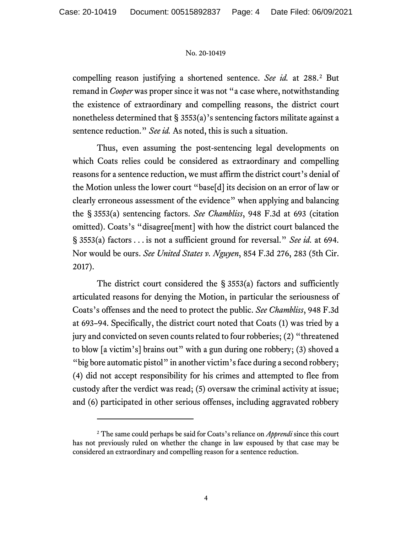compelling reason justifying a shortened sentence. *See id.* at 288. [2](#page-3-0) But remand in *Cooper* was proper since it was not "a case where, notwithstanding the existence of extraordinary and compelling reasons, the district court nonetheless determined that § 3553(a)'s sentencing factors militate against a sentence reduction." *See id.* As noted, this is such a situation.

Thus, even assuming the post-sentencing legal developments on which Coats relies could be considered as extraordinary and compelling reasons for a sentence reduction, we must affirm the district court's denial of the Motion unless the lower court "base[d] its decision on an error of law or clearly erroneous assessment of the evidence" when applying and balancing the § 3553(a) sentencing factors. *See Chambliss*, 948 F.3d at 693 (citation omitted). Coats's "disagree[ment] with how the district court balanced the § 3553(a) factors . . . is not a sufficient ground for reversal." *See id.* at 694. Nor would be ours. *See United States v. Nguyen*, 854 F.3d 276, 283 (5th Cir. 2017).

The district court considered the  $\S$  3553(a) factors and sufficiently articulated reasons for denying the Motion, in particular the seriousness of Coats's offenses and the need to protect the public. *See Chambliss*, 948 F.3d at 693–94. Specifically, the district court noted that Coats (1) was tried by a jury and convicted on seven counts related to four robberies; (2) "threatened to blow [a victim's] brains out" with a gun during one robbery; (3) shoved a "big bore automatic pistol" in another victim's face during a second robbery; (4) did not accept responsibility for his crimes and attempted to flee from custody after the verdict was read; (5) oversaw the criminal activity at issue; and (6) participated in other serious offenses, including aggravated robbery

<span id="page-3-0"></span><sup>2</sup> The same could perhaps be said for Coats's reliance on *Apprendi* since this court has not previously ruled on whether the change in law espoused by that case may be considered an extraordinary and compelling reason for a sentence reduction.